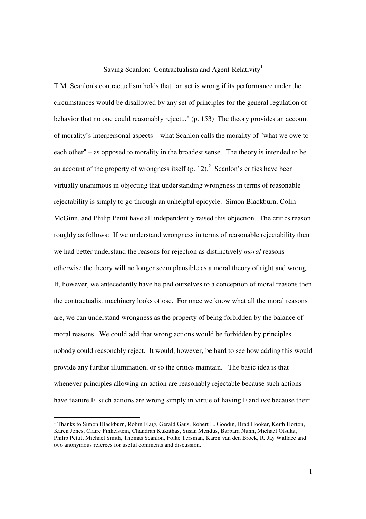## Saving Scanlon: Contractualism and Agent-Relativity<sup>1</sup>

T.M. Scanlon's contractualism holds that "an act is wrong if its performance under the circumstances would be disallowed by any set of principles for the general regulation of behavior that no one could reasonably reject..." (p. 153) The theory provides an account of morality's interpersonal aspects – what Scanlon calls the morality of "what we owe to each other" – as opposed to morality in the broadest sense. The theory is intended to be an account of the property of wrongness itself  $(p. 12)$ . Scanlon's critics have been virtually unanimous in objecting that understanding wrongness in terms of reasonable rejectability is simply to go through an unhelpful epicycle. Simon Blackburn, Colin McGinn, and Philip Pettit have all independently raised this objection. The critics reason roughly as follows: If we understand wrongness in terms of reasonable rejectability then we had better understand the reasons for rejection as distinctively *moral* reasons – otherwise the theory will no longer seem plausible as a moral theory of right and wrong. If, however, we antecedently have helped ourselves to a conception of moral reasons then the contractualist machinery looks otiose. For once we know what all the moral reasons are, we can understand wrongness as the property of being forbidden by the balance of moral reasons. We could add that wrong actions would be forbidden by principles nobody could reasonably reject. It would, however, be hard to see how adding this would provide any further illumination, or so the critics maintain. The basic idea is that whenever principles allowing an action are reasonably rejectable because such actions have feature F, such actions are wrong simply in virtue of having F and *not* because their

<sup>&</sup>lt;sup>1</sup> Thanks to Simon Blackburn, Robin Flaig, Gerald Gaus, Robert E. Goodin, Brad Hooker, Keith Horton, Karen Jones, Claire Finkelstein, Chandran Kukathas, Susan Mendus, Barbara Nunn, Michael Otsuka, Philip Pettit, Michael Smith, Thomas Scanlon, Folke Tersman, Karen van den Broek, R. Jay Wallace and two anonymous referees for useful comments and discussion.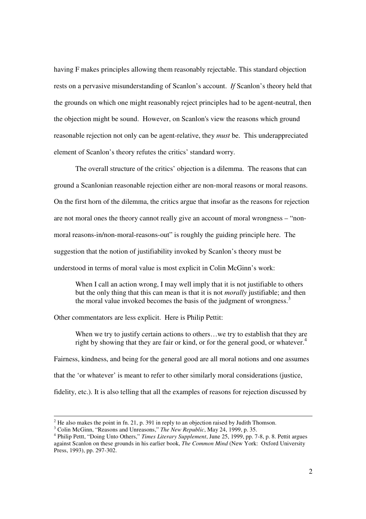having F makes principles allowing them reasonably rejectable. This standard objection rests on a pervasive misunderstanding of Scanlon's account. *If* Scanlon's theory held that the grounds on which one might reasonably reject principles had to be agent-neutral, then the objection might be sound. However, on Scanlon's view the reasons which ground reasonable rejection not only can be agent-relative, they *must* be. This underappreciated element of Scanlon's theory refutes the critics' standard worry.

The overall structure of the critics' objection is a dilemma. The reasons that can ground a Scanlonian reasonable rejection either are non-moral reasons or moral reasons. On the first horn of the dilemma, the critics argue that insofar as the reasons for rejection are not moral ones the theory cannot really give an account of moral wrongness – "nonmoral reasons-in/non-moral-reasons-out" is roughly the guiding principle here. The suggestion that the notion of justifiability invoked by Scanlon's theory must be understood in terms of moral value is most explicit in Colin McGinn's work:

When I call an action wrong, I may well imply that it is not justifiable to others but the only thing that this can mean is that it is not *morally* justifiable; and then the moral value invoked becomes the basis of the judgment of wrongness.<sup>3</sup>

Other commentators are less explicit. Here is Philip Pettit:

When we try to justify certain actions to others...we try to establish that they are right by showing that they are fair or kind, or for the general good, or whatever. 4

Fairness, kindness, and being for the general good are all moral notions and one assumes that the 'or whatever' is meant to refer to other similarly moral considerations (justice, fidelity, etc.). It is also telling that all the examples of reasons for rejection discussed by

 $^{2}$  He also makes the point in fn. 21, p. 391 in reply to an objection raised by Judith Thomson.

<sup>&</sup>lt;sup>3</sup> Colin McGinn, "Reasons and Unreasons," *The New Republic*, May 24, 1999, p. 35.

<sup>4</sup> Philip Pettt, "Doing Unto Others," *Times Literary Supplement*, June 25, 1999, pp. 7-8, p. 8. Pettit argues against Scanlon on these grounds in his earlier book, *The Common Mind* (New York: Oxford University Press, 1993), pp. 297-302.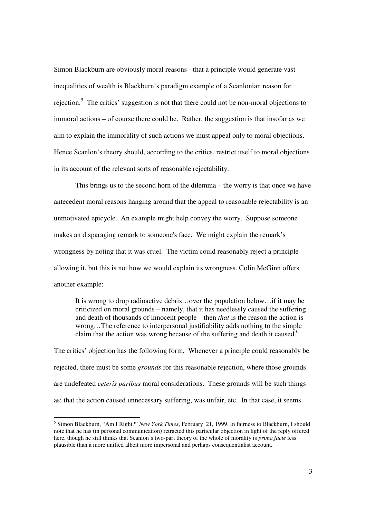Simon Blackburn are obviously moral reasons - that a principle would generate vast inequalities of wealth is Blackburn's paradigm example of a Scanlonian reason for rejection.<sup>5</sup> The critics' suggestion is not that there could not be non-moral objections to immoral actions – of course there could be. Rather, the suggestion is that insofar as we aim to explain the immorality of such actions we must appeal only to moral objections. Hence Scanlon's theory should, according to the critics, restrict itself to moral objections in its account of the relevant sorts of reasonable rejectability.

This brings us to the second horn of the dilemma – the worry is that once we have antecedent moral reasons hanging around that the appeal to reasonable rejectability is an unmotivated epicycle. An example might help convey the worry. Suppose someone makes an disparaging remark to someone's face. We might explain the remark's wrongness by noting that it was cruel. The victim could reasonably reject a principle allowing it, but this is not how we would explain its wrongness. Colin McGinn offers another example:

It is wrong to drop radioactive debris…over the population below…if it may be criticized on moral grounds – namely, that it has needlessly caused the suffering and death of thousands of innocent people – then *that* is the reason the action is wrong…The reference to interpersonal justifiability adds nothing to the simple claim that the action was wrong because of the suffering and death it caused.<sup>6</sup>

The critics' objection has the following form. Whenever a principle could reasonably be rejected, there must be some *grounds* for this reasonable rejection, where those grounds are undefeated *ceteris paribus* moral considerations. These grounds will be such things as: that the action caused unnecessary suffering, was unfair, etc. In that case, it seems

<sup>5</sup> Simon Blackburn, "Am I Right?" *New York Times*, February 21, 1999. In fairness to Blackburn, I should note that he has (in personal communication) retracted this particular objection in light of the reply offered here, though he still thinks that Scanlon's two-part theory of the whole of morality is *prima facie* less plausible than a more unified albeit more impersonal and perhaps consequentialist account.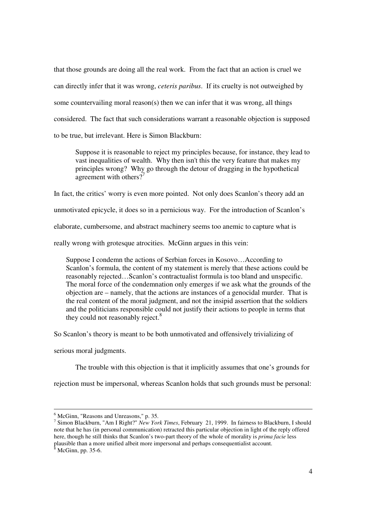that those grounds are doing all the real work. From the fact that an action is cruel we can directly infer that it was wrong, *ceteris paribus*. If its cruelty is not outweighed by some countervailing moral reason(s) then we can infer that it was wrong, all things considered. The fact that such considerations warrant a reasonable objection is supposed to be true, but irrelevant. Here is Simon Blackburn:

Suppose it is reasonable to reject my principles because, for instance, they lead to vast inequalities of wealth. Why then isn't this the very feature that makes my principles wrong? Why go through the detour of dragging in the hypothetical agreement with others?<sup>7</sup>

In fact, the critics' worry is even more pointed. Not only does Scanlon's theory add an unmotivated epicycle, it does so in a pernicious way. For the introduction of Scanlon's elaborate, cumbersome, and abstract machinery seems too anemic to capture what is really wrong with grotesque atrocities. McGinn argues in this vein:

Suppose I condemn the actions of Serbian forces in Kosovo…According to Scanlon's formula, the content of my statement is merely that these actions could be reasonably rejected…Scanlon's contractualist formula is too bland and unspecific. The moral force of the condemnation only emerges if we ask what the grounds of the objection are – namely, that the actions are instances of a genocidal murder. That is the real content of the moral judgment, and not the insipid assertion that the soldiers and the politicians responsible could not justify their actions to people in terms that they could not reasonably reject.<sup>8</sup>

So Scanlon's theory is meant to be both unmotivated and offensively trivializing of

serious moral judgments.

The trouble with this objection is that it implicitly assumes that one's grounds for

rejection must be impersonal, whereas Scanlon holds that such grounds must be personal:

<sup>6</sup> McGinn, "Reasons and Unreasons," p. 35.

<sup>7</sup> Simon Blackburn, "Am I Right?" *New York Times*, February 21, 1999. In fairness to Blackburn, I should note that he has (in personal communication) retracted this particular objection in light of the reply offered here, though he still thinks that Scanlon's two-part theory of the whole of morality is *prima facie* less plausible than a more unified albeit more impersonal and perhaps consequentialist account.

 $^{\circ}$  McGinn, pp. 35-6.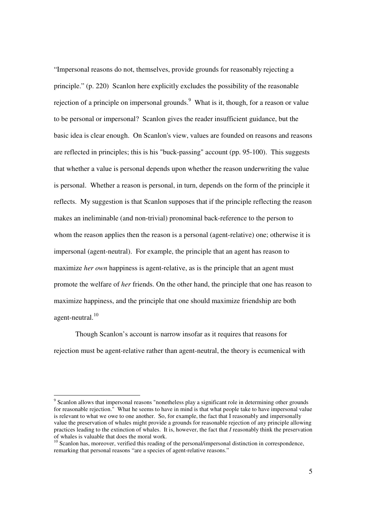"Impersonal reasons do not, themselves, provide grounds for reasonably rejecting a principle." (p. 220) Scanlon here explicitly excludes the possibility of the reasonable rejection of a principle on impersonal grounds.<sup>9</sup> What is it, though, for a reason or value to be personal or impersonal? Scanlon gives the reader insufficient guidance, but the basic idea is clear enough. On Scanlon's view, values are founded on reasons and reasons are reflected in principles; this is his "buck-passing" account (pp. 95-100). This suggests that whether a value is personal depends upon whether the reason underwriting the value is personal. Whether a reason is personal, in turn, depends on the form of the principle it reflects. My suggestion is that Scanlon supposes that if the principle reflecting the reason makes an ineliminable (and non-trivial) pronominal back-reference to the person to whom the reason applies then the reason is a personal (agent-relative) one; otherwise it is impersonal (agent-neutral). For example, the principle that an agent has reason to maximize *her own* happiness is agent-relative, as is the principle that an agent must promote the welfare of *her* friends. On the other hand, the principle that one has reason to maximize happiness, and the principle that one should maximize friendship are both agent-neutral.<sup>10</sup>

Though Scanlon's account is narrow insofar as it requires that reasons for rejection must be agent-relative rather than agent-neutral, the theory is ecumenical with

<sup>&</sup>lt;sup>9</sup> Scanlon allows that impersonal reasons "nonetheless play a significant role in determining other grounds for reasonable rejection." What he seems to have in mind is that what people take to have impersonal value is relevant to what we owe to one another. So, for example, the fact that I reasonably and impersonally value the preservation of whales might provide a grounds for reasonable rejection of any principle allowing practices leading to the extinction of whales. It is, however, the fact that *I* reasonably think the preservation of whales is valuable that does the moral work.<br><sup>10</sup> Scanlon has, moreover, verified this reading of the personal/impersonal distinction in correspondence,

remarking that personal reasons "are a species of agent-relative reasons."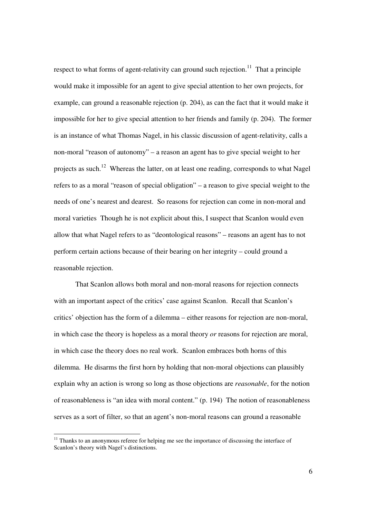respect to what forms of agent-relativity can ground such rejection.<sup>11</sup> That a principle would make it impossible for an agent to give special attention to her own projects, for example, can ground a reasonable rejection (p. 204), as can the fact that it would make it impossible for her to give special attention to her friends and family (p. 204). The former is an instance of what Thomas Nagel, in his classic discussion of agent-relativity, calls a non-moral "reason of autonomy" – a reason an agent has to give special weight to her projects as such.<sup>12</sup> Whereas the latter, on at least one reading, corresponds to what Nagel refers to as a moral "reason of special obligation" – a reason to give special weight to the needs of one's nearest and dearest. So reasons for rejection can come in non-moral and moral varieties Though he is not explicit about this, I suspect that Scanlon would even allow that what Nagel refers to as "deontological reasons" – reasons an agent has to not perform certain actions because of their bearing on her integrity – could ground a reasonable rejection.

That Scanlon allows both moral and non-moral reasons for rejection connects with an important aspect of the critics' case against Scanlon. Recall that Scanlon's critics' objection has the form of a dilemma – either reasons for rejection are non-moral, in which case the theory is hopeless as a moral theory *or* reasons for rejection are moral, in which case the theory does no real work. Scanlon embraces both horns of this dilemma. He disarms the first horn by holding that non-moral objections can plausibly explain why an action is wrong so long as those objections are *reasonable*, for the notion of reasonableness is "an idea with moral content." (p. 194) The notion of reasonableness serves as a sort of filter, so that an agent's non-moral reasons can ground a reasonable

<sup>&</sup>lt;sup>11</sup> Thanks to an anonymous referee for helping me see the importance of discussing the interface of Scanlon's theory with Nagel's distinctions.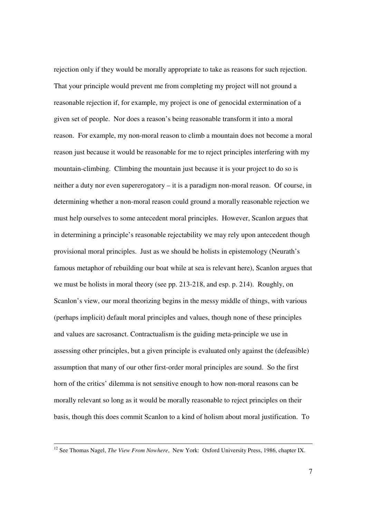rejection only if they would be morally appropriate to take as reasons for such rejection. That your principle would prevent me from completing my project will not ground a reasonable rejection if, for example, my project is one of genocidal extermination of a given set of people. Nor does a reason's being reasonable transform it into a moral reason. For example, my non-moral reason to climb a mountain does not become a moral reason just because it would be reasonable for me to reject principles interfering with my mountain-climbing. Climbing the mountain just because it is your project to do so is neither a duty nor even supererogatory – it is a paradigm non-moral reason. Of course, in determining whether a non-moral reason could ground a morally reasonable rejection we must help ourselves to some antecedent moral principles. However, Scanlon argues that in determining a principle's reasonable rejectability we may rely upon antecedent though provisional moral principles. Just as we should be holists in epistemology (Neurath's famous metaphor of rebuilding our boat while at sea is relevant here), Scanlon argues that we must be holists in moral theory (see pp. 213-218, and esp. p. 214). Roughly, on Scanlon's view, our moral theorizing begins in the messy middle of things, with various (perhaps implicit) default moral principles and values, though none of these principles and values are sacrosanct. Contractualism is the guiding meta-principle we use in assessing other principles, but a given principle is evaluated only against the (defeasible) assumption that many of our other first-order moral principles are sound. So the first horn of the critics' dilemma is not sensitive enough to how non-moral reasons can be morally relevant so long as it would be morally reasonable to reject principles on their basis, though this does commit Scanlon to a kind of holism about moral justification. To

<sup>12</sup> See Thomas Nagel, *The View From Nowhere*, New York: Oxford University Press, 1986, chapter IX.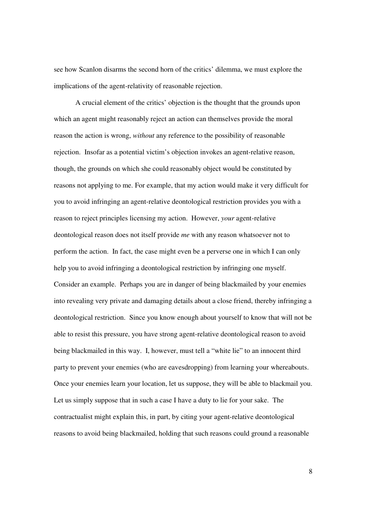see how Scanlon disarms the second horn of the critics' dilemma, we must explore the implications of the agent-relativity of reasonable rejection.

A crucial element of the critics' objection is the thought that the grounds upon which an agent might reasonably reject an action can themselves provide the moral reason the action is wrong, *without* any reference to the possibility of reasonable rejection. Insofar as a potential victim's objection invokes an agent-relative reason, though, the grounds on which she could reasonably object would be constituted by reasons not applying to me. For example, that my action would make it very difficult for you to avoid infringing an agent-relative deontological restriction provides you with a reason to reject principles licensing my action. However, *your* agent-relative deontological reason does not itself provide *me* with any reason whatsoever not to perform the action. In fact, the case might even be a perverse one in which I can only help you to avoid infringing a deontological restriction by infringing one myself. Consider an example. Perhaps you are in danger of being blackmailed by your enemies into revealing very private and damaging details about a close friend, thereby infringing a deontological restriction. Since you know enough about yourself to know that will not be able to resist this pressure, you have strong agent-relative deontological reason to avoid being blackmailed in this way. I, however, must tell a "white lie" to an innocent third party to prevent your enemies (who are eavesdropping) from learning your whereabouts. Once your enemies learn your location, let us suppose, they will be able to blackmail you. Let us simply suppose that in such a case I have a duty to lie for your sake. The contractualist might explain this, in part, by citing your agent-relative deontological reasons to avoid being blackmailed, holding that such reasons could ground a reasonable

8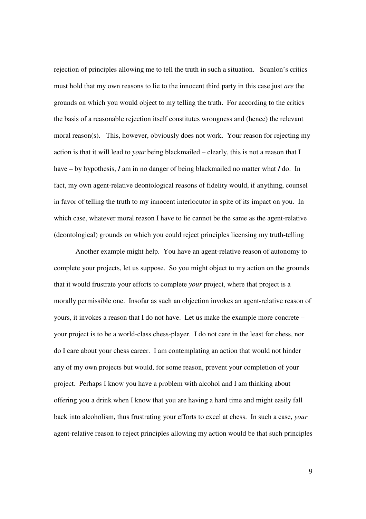rejection of principles allowing me to tell the truth in such a situation. Scanlon's critics must hold that my own reasons to lie to the innocent third party in this case just *are* the grounds on which you would object to my telling the truth. For according to the critics the basis of a reasonable rejection itself constitutes wrongness and (hence) the relevant moral reason(s). This, however, obviously does not work. Your reason for rejecting my action is that it will lead to *your* being blackmailed – clearly, this is not a reason that I have – by hypothesis, *I* am in no danger of being blackmailed no matter what *I* do. In fact, my own agent-relative deontological reasons of fidelity would, if anything, counsel in favor of telling the truth to my innocent interlocutor in spite of its impact on you. In which case, whatever moral reason I have to lie cannot be the same as the agent-relative (deontological) grounds on which you could reject principles licensing my truth-telling

Another example might help. You have an agent-relative reason of autonomy to complete your projects, let us suppose. So you might object to my action on the grounds that it would frustrate your efforts to complete *your* project, where that project is a morally permissible one. Insofar as such an objection invokes an agent-relative reason of yours, it invokes a reason that I do not have. Let us make the example more concrete – your project is to be a world-class chess-player. I do not care in the least for chess, nor do I care about your chess career. I am contemplating an action that would not hinder any of my own projects but would, for some reason, prevent your completion of your project. Perhaps I know you have a problem with alcohol and I am thinking about offering you a drink when I know that you are having a hard time and might easily fall back into alcoholism, thus frustrating your efforts to excel at chess. In such a case, *your* agent-relative reason to reject principles allowing my action would be that such principles

9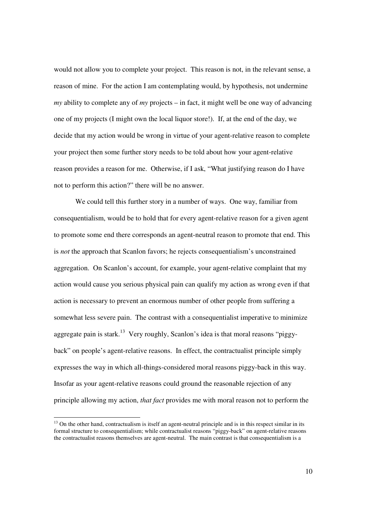would not allow you to complete your project. This reason is not, in the relevant sense, a reason of mine. For the action I am contemplating would, by hypothesis, not undermine *my* ability to complete any of *my* projects – in fact, it might well be one way of advancing one of my projects (I might own the local liquor store!). If, at the end of the day, we decide that my action would be wrong in virtue of your agent-relative reason to complete your project then some further story needs to be told about how your agent-relative reason provides a reason for me. Otherwise, if I ask, "What justifying reason do I have not to perform this action?" there will be no answer.

We could tell this further story in a number of ways. One way, familiar from consequentialism, would be to hold that for every agent-relative reason for a given agent to promote some end there corresponds an agent-neutral reason to promote that end. This is *not* the approach that Scanlon favors; he rejects consequentialism's unconstrained aggregation. On Scanlon's account, for example, your agent-relative complaint that my action would cause you serious physical pain can qualify my action as wrong even if that action is necessary to prevent an enormous number of other people from suffering a somewhat less severe pain. The contrast with a consequentialist imperative to minimize aggregate pain is stark.<sup>13</sup> Very roughly, Scanlon's idea is that moral reasons "piggyback" on people's agent-relative reasons. In effect, the contractualist principle simply expresses the way in which all-things-considered moral reasons piggy-back in this way. Insofar as your agent-relative reasons could ground the reasonable rejection of any principle allowing my action, *that fact* provides me with moral reason not to perform the

 $<sup>13</sup>$  On the other hand, contractualism is itself an agent-neutral principle and is in this respect similar in its</sup> formal structure to consequentialism; while contractualist reasons "piggy-back" on agent-relative reasons the contractualist reasons themselves are agent-neutral. The main contrast is that consequentialism is a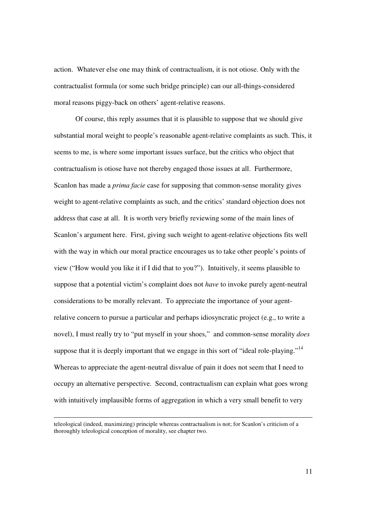action. Whatever else one may think of contractualism, it is not otiose. Only with the contractualist formula (or some such bridge principle) can our all-things-considered moral reasons piggy-back on others' agent-relative reasons.

Of course, this reply assumes that it is plausible to suppose that we should give substantial moral weight to people's reasonable agent-relative complaints as such. This, it seems to me, is where some important issues surface, but the critics who object that contractualism is otiose have not thereby engaged those issues at all. Furthermore, Scanlon has made a *prima facie* case for supposing that common-sense morality gives weight to agent-relative complaints as such, and the critics' standard objection does not address that case at all. It is worth very briefly reviewing some of the main lines of Scanlon's argument here. First, giving such weight to agent-relative objections fits well with the way in which our moral practice encourages us to take other people's points of view ("How would you like it if I did that to you?"). Intuitively, it seems plausible to suppose that a potential victim's complaint does not *have* to invoke purely agent-neutral considerations to be morally relevant. To appreciate the importance of your agentrelative concern to pursue a particular and perhaps idiosyncratic project (e.g., to write a novel), I must really try to "put myself in your shoes," and common-sense morality *does* suppose that it is deeply important that we engage in this sort of "ideal role-playing."<sup>14</sup> Whereas to appreciate the agent-neutral disvalue of pain it does not seem that I need to occupy an alternative perspective. Second, contractualism can explain what goes wrong with intuitively implausible forms of aggregation in which a very small benefit to very

teleological (indeed, maximizing) principle whereas contractualism is not; for Scanlon's criticism of a thoroughly teleological conception of morality, see chapter two.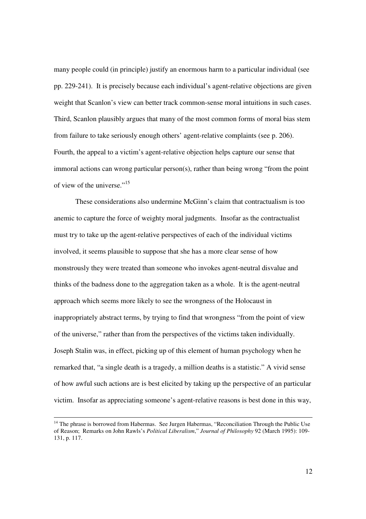many people could (in principle) justify an enormous harm to a particular individual (see pp. 229-241). It is precisely because each individual's agent-relative objections are given weight that Scanlon's view can better track common-sense moral intuitions in such cases. Third, Scanlon plausibly argues that many of the most common forms of moral bias stem from failure to take seriously enough others' agent-relative complaints (see p. 206). Fourth, the appeal to a victim's agent-relative objection helps capture our sense that immoral actions can wrong particular person(s), rather than being wrong "from the point of view of the universe."<sup>15</sup>

These considerations also undermine McGinn's claim that contractualism is too anemic to capture the force of weighty moral judgments. Insofar as the contractualist must try to take up the agent-relative perspectives of each of the individual victims involved, it seems plausible to suppose that she has a more clear sense of how monstrously they were treated than someone who invokes agent-neutral disvalue and thinks of the badness done to the aggregation taken as a whole. It is the agent-neutral approach which seems more likely to see the wrongness of the Holocaust in inappropriately abstract terms, by trying to find that wrongness "from the point of view of the universe," rather than from the perspectives of the victims taken individually. Joseph Stalin was, in effect, picking up of this element of human psychology when he remarked that, "a single death is a tragedy, a million deaths is a statistic." A vivid sense of how awful such actions are is best elicited by taking up the perspective of an particular victim. Insofar as appreciating someone's agent-relative reasons is best done in this way,

<sup>&</sup>lt;sup>14</sup> The phrase is borrowed from Habermas. See Jurgen Habermas, "Reconciliation Through the Public Use of Reason; Remarks on John Rawls's *Political Liberalism*," *Journal of Philosophy* 92 (March 1995): 109- 131, p. 117.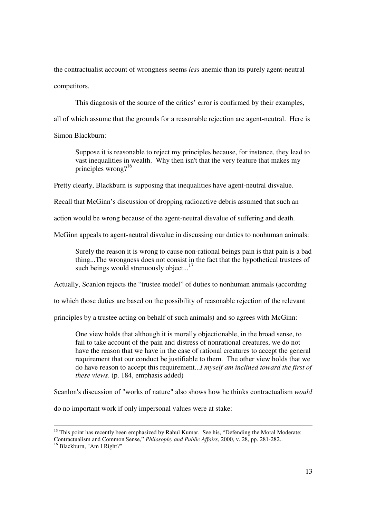the contractualist account of wrongness seems *less* anemic than its purely agent-neutral competitors.

This diagnosis of the source of the critics' error is confirmed by their examples,

all of which assume that the grounds for a reasonable rejection are agent-neutral. Here is

Simon Blackburn:

Suppose it is reasonable to reject my principles because, for instance, they lead to vast inequalities in wealth. Why then isn't that the very feature that makes my principles wrong? 16

Pretty clearly, Blackburn is supposing that inequalities have agent-neutral disvalue.

Recall that McGinn's discussion of dropping radioactive debris assumed that such an

action would be wrong because of the agent-neutral disvalue of suffering and death.

McGinn appeals to agent-neutral disvalue in discussing our duties to nonhuman animals:

Surely the reason it is wrong to cause non-rational beings pain is that pain is a bad thing...The wrongness does not consist in the fact that the hypothetical trustees of such beings would strenuously object...<sup>17</sup>

Actually, Scanlon rejects the "trustee model" of duties to nonhuman animals (according

to which those duties are based on the possibility of reasonable rejection of the relevant

principles by a trustee acting on behalf of such animals) and so agrees with McGinn:

One view holds that although it is morally objectionable, in the broad sense, to fail to take account of the pain and distress of nonrational creatures, we do not have the reason that we have in the case of rational creatures to accept the general requirement that our conduct be justifiable to them. The other view holds that we do have reason to accept this requirement...*I myself am inclined toward the first of these views*. (p. 184, emphasis added)

Scanlon's discussion of "works of nature" also shows how he thinks contractualism *would*

do no important work if only impersonal values were at stake:

<sup>&</sup>lt;sup>15</sup> This point has recently been emphasized by Rahul Kumar. See his, "Defending the Moral Moderate:

Contractualism and Common Sense," *Philosophy and Public Affairs*, 2000, v. 28, pp. 281-282..

<sup>&</sup>lt;sup>16</sup> Blackburn, "Am I Right?"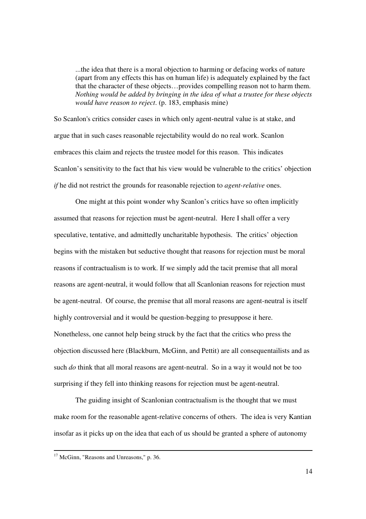...the idea that there is a moral objection to harming or defacing works of nature (apart from any effects this has on human life) is adequately explained by the fact that the character of these objects…provides compelling reason not to harm them. *Nothing would be added by bringing in the idea of what a trustee for these objects would have reason to reject*. (p. 183, emphasis mine)

So Scanlon's critics consider cases in which only agent-neutral value is at stake, and argue that in such cases reasonable rejectability would do no real work. Scanlon embraces this claim and rejects the trustee model for this reason. This indicates Scanlon's sensitivity to the fact that his view would be vulnerable to the critics' objection *if* he did not restrict the grounds for reasonable rejection to *agent-relative* ones.

One might at this point wonder why Scanlon's critics have so often implicitly assumed that reasons for rejection must be agent-neutral. Here I shall offer a very speculative, tentative, and admittedly uncharitable hypothesis. The critics' objection begins with the mistaken but seductive thought that reasons for rejection must be moral reasons if contractualism is to work. If we simply add the tacit premise that all moral reasons are agent-neutral, it would follow that all Scanlonian reasons for rejection must be agent-neutral. Of course, the premise that all moral reasons are agent-neutral is itself highly controversial and it would be question-begging to presuppose it here. Nonetheless, one cannot help being struck by the fact that the critics who press the objection discussed here (Blackburn, McGinn, and Pettit) are all consequentailists and as such *do* think that all moral reasons are agent-neutral. So in a way it would not be too surprising if they fell into thinking reasons for rejection must be agent-neutral.

The guiding insight of Scanlonian contractualism is the thought that we must make room for the reasonable agent-relative concerns of others. The idea is very Kantian insofar as it picks up on the idea that each of us should be granted a sphere of autonomy

 $17$  McGinn, "Reasons and Unreasons," p. 36.